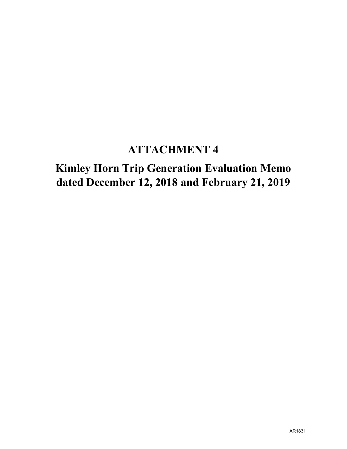## **ATTACHMENT 4**

## **Kimley Horn Trip Generation Evaluation Memo dated December 12, 2018 and February 21, 2019**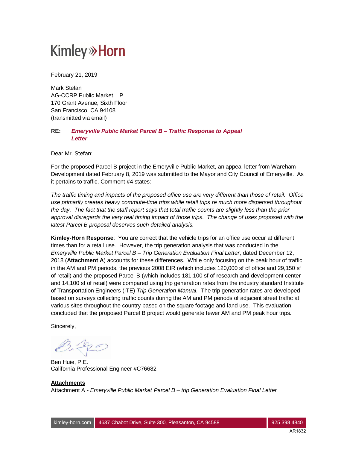February 21, 2019

Mark Stefan AG-CCRP Public Market, LP 170 Grant Avenue, Sixth Floor San Francisco, CA 94108 (transmitted via email)

### **RE:** *Emeryville Public Market Parcel B – Traffic Response to Appeal Letter*

Dear Mr. Stefan:

For the proposed Parcel B project in the Emeryville Public Market, an appeal letter from Wareham Development dated February 8, 2019 was submitted to the Mayor and City Council of Emeryville. As it pertains to traffic, Comment #4 states:

*The traffic timing and impacts of the proposed office use are very different than those of retail. Office use primarily creates heavy commute-time trips while retail trips re much more dispersed throughout the day. The fact that the staff report says that total traffic counts are slightly less than the prior approval disregards the very real timing impact of those trips. The change of uses proposed with the latest Parcel B proposal deserves such detailed analysis.*

**Kimley-Horn Response**: You are correct that the vehicle trips for an office use occur at different times than for a retail use. However, the trip generation analysis that was conducted in the *Emeryville Public Market Parcel B – Trip Generation Evaluation Final Letter*, dated December 12, 2018 (**Attachment A**) accounts for these differences. While only focusing on the peak hour of traffic in the AM and PM periods, the previous 2008 EIR (which includes 120,000 sf of office and 29,150 sf of retail) and the proposed Parcel B (which includes 181,100 sf of research and development center and 14,100 sf of retail) were compared using trip generation rates from the industry standard Institute of Transportation Engineers (ITE) *Trip Generation Manual*. The trip generation rates are developed based on surveys collecting traffic counts during the AM and PM periods of adjacent street traffic at various sites throughout the country based on the square footage and land use. This evaluation concluded that the proposed Parcel B project would generate fewer AM and PM peak hour trips.

Sincerely,

 $B.40$ 

Ben Huie, P.E. California Professional Engineer #C76682

### **Attachments** Attachment A - *Emeryville Public Market Parcel B – trip Generation Evaluation Final Letter*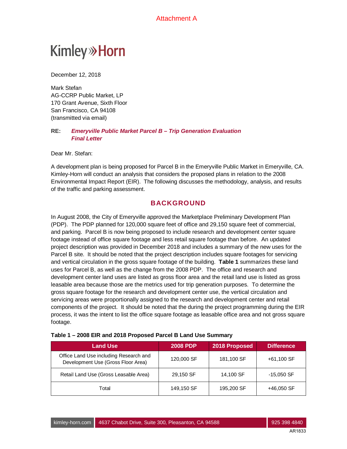**Kimley»Horn** 

December 12, 2018

Mark Stefan AG-CCRP Public Market, LP 170 Grant Avenue, Sixth Floor San Francisco, CA 94108 (transmitted via email)

#### **RE:** *Emeryville Public Market Parcel B – Trip Generation Evaluation Final Letter*

Dear Mr. Stefan:

A development plan is being proposed for Parcel B in the Emeryville Public Market in Emeryville, CA. Kimley-Horn will conduct an analysis that considers the proposed plans in relation to the 2008 Environmental Impact Report (EIR). The following discusses the methodology, analysis, and results of the traffic and parking assessment.

### **BACKGROUND**

In August 2008, the City of Emeryville approved the Marketplace Preliminary Development Plan (PDP). The PDP planned for 120,000 square feet of office and 29,150 square feet of commercial, and parking. Parcel B is now being proposed to include research and development center square footage instead of office square footage and less retail square footage than before. An updated project description was provided in December 2018 and includes a summary of the new uses for the Parcel B site. It should be noted that the project description includes square footages for servicing and vertical circulation in the gross square footage of the building. **Table 1** summarizes these land uses for Parcel B, as well as the change from the 2008 PDP. The office and research and development center land uses are listed as gross floor area and the retail land use is listed as gross leasable area because those are the metrics used for trip generation purposes. To determine the gross square footage for the research and development center use, the vertical circulation and servicing areas were proportionally assigned to the research and development center and retail components of the project. It should be noted that the during the project programming during the EIR process, it was the intent to list the office square footage as leasable office area and not gross square footage.

| <b>Land Use</b>                                                              | <b>2008 PDP</b> | 2018 Proposed | Difference.  |
|------------------------------------------------------------------------------|-----------------|---------------|--------------|
| Office Land Use including Research and<br>Development Use (Gross Floor Area) | 120,000 SF      | 181,100 SF    | +61,100 SF   |
| Retail Land Use (Gross Leasable Area)                                        | 29,150 SF       | 14,100 SF     | $-15,050$ SF |
| Total                                                                        | 149,150 SF      | 195,200 SF    | +46,050 SF   |

#### **Table 1 – 2008 EIR and 2018 Proposed Parcel B Land Use Summary**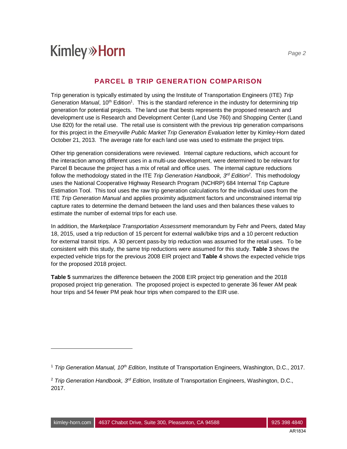### **PARCEL B TRIP GENERATION COMPARISON**

Trip generation is typically estimated by using the Institute of Transportation Engineers (ITE) *Trip* Generation Manual, 10<sup>th</sup> Edition<sup>1</sup>. This is the standard reference in the industry for determining trip generation for potential projects. The land use that bests represents the proposed research and development use is Research and Development Center (Land Use 760) and Shopping Center (Land Use 820) for the retail use. The retail use is consistent with the previous trip generation comparisons for this project in the *Emeryville Public Market Trip Generation Evaluation* letter by Kimley-Horn dated October 21, 2013. The average rate for each land use was used to estimate the project trips.

Other trip generation considerations were reviewed. Internal capture reductions, which account for the interaction among different uses in a multi-use development, were determined to be relevant for Parcel B because the project has a mix of retail and office uses. The internal capture reductions follow the methodology stated in the ITE *Trip Generation Handbook, 3rd Edition<sup>2</sup>* . This methodology uses the National Cooperative Highway Research Program (NCHRP) 684 Internal Trip Capture Estimation Tool. This tool uses the raw trip generation calculations for the individual uses from the ITE *Trip Generation Manual* and applies proximity adjustment factors and unconstrained internal trip capture rates to determine the demand between the land uses and then balances these values to estimate the number of external trips for each use.

In addition, the *Marketplace Transportation Assessment* memorandum by Fehr and Peers, dated May 18, 2015, used a trip reduction of 15 percent for external walk/bike trips and a 10 percent reduction for external transit trips. A 30 percent pass-by trip reduction was assumed for the retail uses. To be consistent with this study, the same trip reductions were assumed for this study. **Table 3** shows the expected vehicle trips for the previous 2008 EIR project and **Table 4** shows the expected vehicle trips for the proposed 2018 project.

**Table 5** summarizes the difference between the 2008 EIR project trip generation and the 2018 proposed project trip generation. The proposed project is expected to generate 36 fewer AM peak hour trips and 54 fewer PM peak hour trips when compared to the EIR use.

<sup>1</sup> *Trip Generation Manual, 10th Edition*, Institute of Transportation Engineers, Washington, D.C., 2017.

<sup>2</sup> *Trip Generation Handbook, 3rd Edition*, Institute of Transportation Engineers, Washington, D.C., 2017.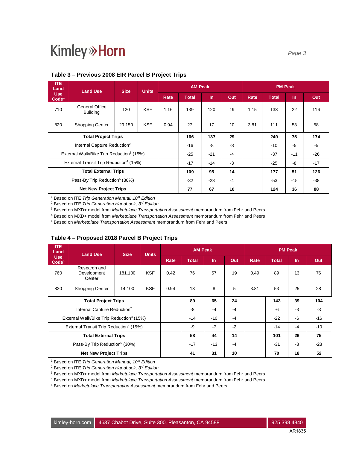| <b>ITE</b><br>Land<br><b>Land Use</b>                |                                   | <b>Size</b> | <b>Units</b> |       | <b>AM Peak</b> |       |       | <b>PM Peak</b> |              |           |     |
|------------------------------------------------------|-----------------------------------|-------------|--------------|-------|----------------|-------|-------|----------------|--------------|-----------|-----|
| <b>Use</b><br>Code <sup>1</sup>                      |                                   |             |              | Rate  | <b>Total</b>   | $\ln$ | Out   | Rate           | <b>Total</b> | <b>In</b> | Out |
| 710                                                  | General Office<br><b>Building</b> | 120         | <b>KSF</b>   | 1.16  | 139            | 120   | 19    | 1.15           | 138          | 22        | 116 |
| 820                                                  | <b>Shopping Center</b>            | 29.150      | <b>KSF</b>   | 0.94  | 27             | 17    | 10    | 3.81           | 111          | 53        | 58  |
| <b>Total Project Trips</b>                           |                                   |             |              | 166   | 137            | 29    |       | 249            | 75           | 174       |     |
| Internal Capture Reduction <sup>2</sup>              |                                   |             |              | $-16$ | -8             | -8    |       | $-10$          | $-5$         | $-5$      |     |
| External Walk/Bike Trip Reduction <sup>3</sup> (15%) |                                   |             | $-25$        | $-21$ | $-4$           |       | $-37$ | $-11$          | $-26$        |           |     |
| External Transit Trip Reduction <sup>4</sup> (15%)   |                                   |             | $-17$        | $-14$ | $-3$           |       | $-25$ | -8             | $-17$        |           |     |
| <b>Total External Trips</b>                          |                                   |             | 109          | 95    | 14             |       | 177   | 51             | 126          |           |     |
| Pass-By Trip Reduction <sup>5</sup> (30%)            |                                   |             |              | $-32$ | $-28$          | $-4$  |       | $-53$          | $-15$        | $-38$     |     |
| <b>Net New Project Trips</b>                         |                                   |             |              | 77    | 67             | 10    |       | 124            | 36           | 88        |     |

### **Table 3 – Previous 2008 EIR Parcel B Project Trips**

1 Based on ITE *Trip Generation Manual, 10th Edition*

2 Based on ITE *Trip Generation Handbook, 3rd Edition*

3 Based on MXD+ model from *Marketplace Transportation Assessment* memorandum from Fehr and Peers

4 Based on MXD+ model from *Marketplace Transportation Assessment* memorandum from Fehr and Peers

5 Based on *Marketplace Transportation Assessment* memorandum from Fehr and Peers

| Table 4 – Proposed 2018 Parcel B Project Trips |
|------------------------------------------------|
|------------------------------------------------|

| <b>ITE</b><br>Land<br><b>Land Use</b>                |                                       |         | <b>Size</b><br><b>Units</b> | <b>AM Peak</b> |              |       |       | <b>PM Peak</b> |              |       |     |
|------------------------------------------------------|---------------------------------------|---------|-----------------------------|----------------|--------------|-------|-------|----------------|--------------|-------|-----|
| <b>Use</b><br>Code <sup>1</sup>                      |                                       |         |                             | Rate           | <b>Total</b> | $\ln$ | Out   | Rate           | <b>Total</b> | In    | Out |
| 760                                                  | Research and<br>Development<br>Center | 181.100 | <b>KSF</b>                  | 0.42           | 76           | 57    | 19    | 0.49           | 89           | 13    | 76  |
| 820                                                  | <b>Shopping Center</b>                | 14.100  | <b>KSF</b>                  | 0.94           | 13           | 8     | 5     | 3.81           | 53           | 25    | 28  |
| <b>Total Project Trips</b>                           |                                       |         | 89                          | 65             | 24           |       | 143   | 39             | 104          |       |     |
| Internal Capture Reduction <sup>2</sup>              |                                       |         | -8                          | $-4$           | $-4$         |       | -6    | $-3$           | $-3$         |       |     |
| External Walk/Bike Trip Reduction <sup>3</sup> (15%) |                                       |         | $-14$                       | $-10$          | $-4$         |       | $-22$ | -6             | $-16$        |       |     |
| External Transit Trip Reduction <sup>4</sup> (15%)   |                                       |         | -9                          | $-7$           | $-2$         |       | $-14$ | $-4$           | $-10$        |       |     |
| <b>Total External Trips</b>                          |                                       |         | 58                          | 44             | 14           |       | 101   | 26             | 75           |       |     |
| Pass-By Trip Reduction <sup>5</sup> (30%)            |                                       |         |                             | $-17$          | $-13$        | $-4$  |       | $-31$          | -8           | $-23$ |     |
| <b>Net New Project Trips</b>                         |                                       |         | 41                          | 31             | 10           |       | 70    | 18             | 52           |       |     |

1 Based on ITE *Trip Generation Manual, 10th Edition*

2 Based on ITE *Trip Generation Handbook, 3rd Edition*

3 Based on MXD+ model from *Marketplace Transportation Assessment* memorandum from Fehr and Peers

4 Based on MXD+ model from *Marketplace Transportation Assessment* memorandum from Fehr and Peers

5 Based on *Marketplace Transportation Assessment* memorandum from Fehr and Peers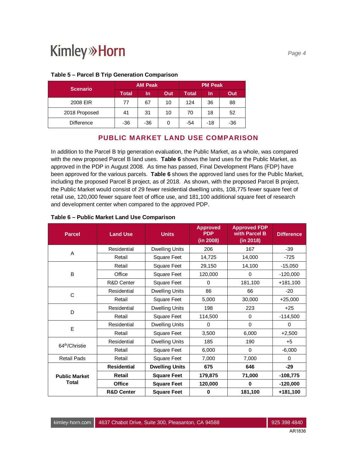| <b>Scenario</b>   |              | <b>AM Peak</b> |     | <b>PM Peak</b> |     |       |  |  |
|-------------------|--------------|----------------|-----|----------------|-----|-------|--|--|
|                   | <b>Total</b> | In             | Out | Total          | In  | Out   |  |  |
| 2008 EIR          | 77           | 67             | 10  | 124            | 36  | 88    |  |  |
| 2018 Proposed     | 41           | 31             | 10  | 70             | 18  | 52    |  |  |
| <b>Difference</b> | $-36$        | $-36$          | 0   | -54            | -18 | $-36$ |  |  |

#### **Table 5 – Parcel B Trip Generation Comparison**

### **PUBLIC MARKET LAND USE COMPARISON**

In addition to the Parcel B trip generation evaluation, the Public Market, as a whole, was compared with the new proposed Parcel B land uses. **Table 6** shows the land uses for the Public Market, as approved in the PDP in August 2008. As time has passed, Final Development Plans (FDP) have been approved for the various parcels. **Table 6** shows the approved land uses for the Public Market, including the proposed Parcel B project, as of 2018. As shown, with the proposed Parcel B project, the Public Market would consist of 29 fewer residential dwelling units, 108,775 fewer square feet of retail use, 120,000 fewer square feet of office use, and 181,100 additional square feet of research and development center when compared to the approved PDP.

| <b>Parcel</b>              | <b>Land Use</b>       | <b>Units</b>          | <b>Approved</b><br><b>PDP</b><br>(in 2008) | <b>Approved FDP</b><br>with Parcel B<br>(in 2018) | <b>Difference</b> |
|----------------------------|-----------------------|-----------------------|--------------------------------------------|---------------------------------------------------|-------------------|
| A                          | Residential           | <b>Dwelling Units</b> | 206                                        | 167                                               | $-39$             |
|                            | Retail                | <b>Square Feet</b>    | 14,725                                     | 14,000                                            | $-725$            |
|                            | Retail                | <b>Square Feet</b>    | 29,150                                     | 14,100                                            | $-15,050$         |
| B                          | Office                | <b>Square Feet</b>    | 120,000                                    | 0                                                 | $-120,000$        |
|                            | R&D Center            | <b>Square Feet</b>    | 0                                          | 181,100                                           | $+181,100$        |
|                            | Residential           | <b>Dwelling Units</b> | 86                                         | 66                                                | $-20$             |
| C                          | Retail                | <b>Square Feet</b>    | 5,000                                      | 30,000                                            | $+25,000$         |
| D                          | Residential           | <b>Dwelling Units</b> | 198                                        | 223                                               | $+25$             |
|                            | Retail                | <b>Square Feet</b>    | 114,500                                    | $\Omega$                                          | $-114,500$        |
| E                          | Residential           | <b>Dwelling Units</b> | 0                                          | $\mathbf 0$                                       | 0                 |
|                            | Retail                | <b>Square Feet</b>    | 3,500                                      | 6,000                                             | $+2,500$          |
| 64 <sup>th</sup> /Christie | Residential           | <b>Dwelling Units</b> | 185                                        | 190                                               | $+5$              |
|                            | Retail                | <b>Square Feet</b>    | 6,000                                      | $\Omega$                                          | $-6,000$          |
| <b>Retail Pads</b>         | Retail                | <b>Square Feet</b>    | 7,000                                      | 7,000                                             | $\Omega$          |
|                            | <b>Residential</b>    | <b>Dwelling Units</b> | 675                                        | 646                                               | $-29$             |
| <b>Public Market</b>       | Retail                | <b>Square Feet</b>    | 179,875                                    | 71,000                                            | $-108,775$        |
| <b>Total</b>               | <b>Office</b>         | <b>Square Feet</b>    | 120,000                                    | $\mathbf 0$                                       | $-120,000$        |
|                            | <b>R&amp;D Center</b> | <b>Square Feet</b>    | $\bf{0}$                                   | 181,100                                           | +181,100          |

#### **Table 6 – Public Market Land Use Comparison**